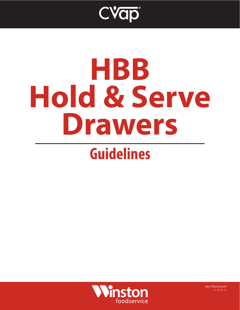

# **HBB Hold & Serve Drawers**

## **Guidelines**



doc170321d rev01 rs 02-05-21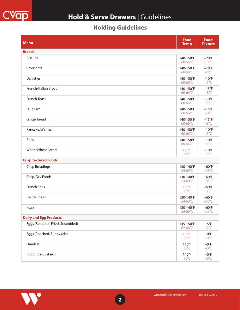

### **Hold & Serve Drawers** | Guidelines

#### **Holding Guidelines**

| <b>Menu</b>                       | <b>Food</b><br><b>Temp</b>        | <b>Food</b><br><b>Texture</b>     |
|-----------------------------------|-----------------------------------|-----------------------------------|
| <b>Breads</b>                     |                                   |                                   |
| <b>Biscuits</b>                   | 140-150°F<br>60-66°C              | $+20^{\circ}F$<br>$+11^{\circ}C$  |
| Croissants                        | 140-150°F<br>$60 - 66^{\circ}C$   | $+10$ °F<br>$+5^{\circ}$ C        |
| Danishes                          | 140-150°F<br>60-66°C              | $+10^{\circ}F$<br>$+5^{\circ}C$   |
| French/Italian Bread              | 140-150°F<br>60-66°C              | $+15^{\circ}F$<br>$+8^{\circ}C$   |
| French Toast                      | 140-150°F<br>$60 - 66^{\circ}C$   | $+10$ °F<br>$+5^{\circ}$ C        |
| <b>Fruit Pies</b>                 | 140-150°F<br>60-66°C              | $+15^{\circ}F$<br>$+8^{\circ}C$   |
| Gingerbread                       | 140-150°F<br>60-66°C              | $+15^{\circ}$ F<br>$+8^{\circ}C$  |
| Pancake/Waffles                   | 140-150°F<br>$60 - 66^{\circ}C$   | $+10$ °F<br>$+5^{\circ}$ C        |
| Rolls                             | 140-150°F<br>60-66°C              | $+10$ °F<br>$+5^{\circ}$ C        |
| <b>White/Wheat Bread</b>          | $150^{\circ}$ F<br>$66^{\circ}$ C | $+10$ °F<br>$+5^{\circ}$ C        |
| <b>Crisp Textured Foods</b>       |                                   |                                   |
| <b>Crisp Breadings</b>            | 130-140°F<br>54-60°C              | $+60^{\circ}F$<br>$+33^{\circ}$ C |
| Crisp, Dry Foods                  | 130-140°F<br>54-60°C              | $+60^{\circ}F$<br>$+33^{\circ}$ C |
| <b>French Fries</b>               | $100^{\circ}F$<br>38°C            | $+60^{\circ}F$<br>$+33^{\circ}$ C |
| Pastry Shells                     | 130-140°F<br>54-60°C              | $+60^{\circ}F$<br>$+33^{\circ}$ C |
| Pizza                             | 130-140°F<br>54-60°C              | $+60^{\circ}F$<br>$+33^{\circ}$ C |
| <b>Dairy and Egg Products</b>     |                                   |                                   |
| Eggs (Benedict, Fried, Scrambled) | 145-150°F<br>62-66°C              | $+5^{\circ}$ F<br>$+2$ °C         |
| Eggs (Poached, Sunnyside)         | 136°F<br>58°C                     | $+0$ °F<br>$+0$ °C                |
| Omelets                           | 140°F<br>$60^{\circ}$ C           | $+0$ °F<br>$+0^{\circ}C$          |
| Puddings/Custards                 | 140°F<br>$60^{\circ}$ C           | $+0$ °F<br>$+0^{\circ}C$          |

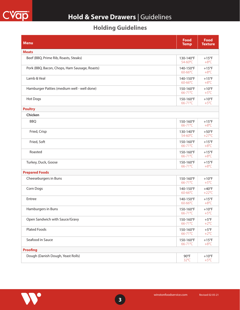

### **Hold & Serve Drawers** | Guidelines

#### **Holding Guidelines**

| <b>Menu</b>                                   | <b>Food</b><br><b>Temp</b> | <b>Food</b><br><b>Texture</b>     |
|-----------------------------------------------|----------------------------|-----------------------------------|
| <b>Meats</b>                                  |                            |                                   |
| Beef (BBQ, Prime Rib, Roasts, Steaks)         | 130-140°F<br>54-60°C       | $+15^{\circ}F$<br>$+8^{\circ}C$   |
| Pork (BBQ, Bacon, Chops, Ham Sausage, Roasts) | 140-150°F<br>60-66°C       | $+15^{\circ}F$<br>$+8^{\circ}C$   |
| Lamb & Veal                                   | 140-150°F<br>60-66°C       | $+15^{\circ}F$<br>$+8^{\circ}C$   |
| Hamburger Patties (medium well - well done)   | 150-160°F<br>66-71°C       | $+10$ °F<br>$+5^{\circ}C$         |
| <b>Hot Dogs</b>                               | 150-160°F<br>66-71°C       | $+10$ °F<br>$+5^{\circ}C$         |
| <b>Poultry</b>                                |                            |                                   |
| Chicken                                       |                            |                                   |
| <b>BBQ</b>                                    | 150-160°F<br>66-71°C       | $+15^{\circ}F$<br>$+8^{\circ}C$   |
| Fried, Crisp                                  | 130-140°F<br>54-60°C       | $+50^{\circ}F$<br>$+27^{\circ}$ C |
| Fried, Soft                                   | 150-160°F<br>66-71°C       | $+15^{\circ}F$<br>$+8^{\circ}C$   |
| Roasted                                       | 150-160°F<br>66-71°C       | $+15^{\circ}F$<br>$+8^{\circ}C$   |
| Turkey, Duck, Goose                           | 150-160°F<br>66-71°C       | $+15^{\circ}F$<br>$+8^{\circ}C$   |
| <b>Prepared Foods</b>                         |                            |                                   |
| Cheeseburgers in Buns                         | 150-160°F<br>66-71°C       | $+10$ °F<br>$+5^{\circ}C$         |
| Corn Dogs                                     | 140-150°F<br>60-66°C       | $+40^{\circ}F$<br>$+22^{\circ}C$  |
| Entree                                        | 140-150°F<br>60-66°C       | $+15^{\circ}$ F<br>$+8^{\circ}C$  |
| Hamburgers in Buns                            | 150-160°F<br>66-71°C       | $+10$ °F<br>$+5^{\circ}C$         |
| Open Sandwich with Sauce/Gravy                | 150-160°F<br>66-71°C       | $+5^{\circ}F$<br>$+2$ °C          |
| <b>Plated Foods</b>                           | 150-160°F<br>66-71°C       | $+5^{\circ}$ F<br>$+2$ °C         |
| Seafood in Sauce                              | 150-160°F<br>66-71°C       | $+15^{\circ}F$<br>$+8^{\circ}C$   |
| <b>Proofing</b>                               |                            |                                   |
| Dough (Danish Dough, Yeast Rolls)             | $90^{\circ}$ F<br>32°C     | $+10$ °F<br>$+5^{\circ}C$         |